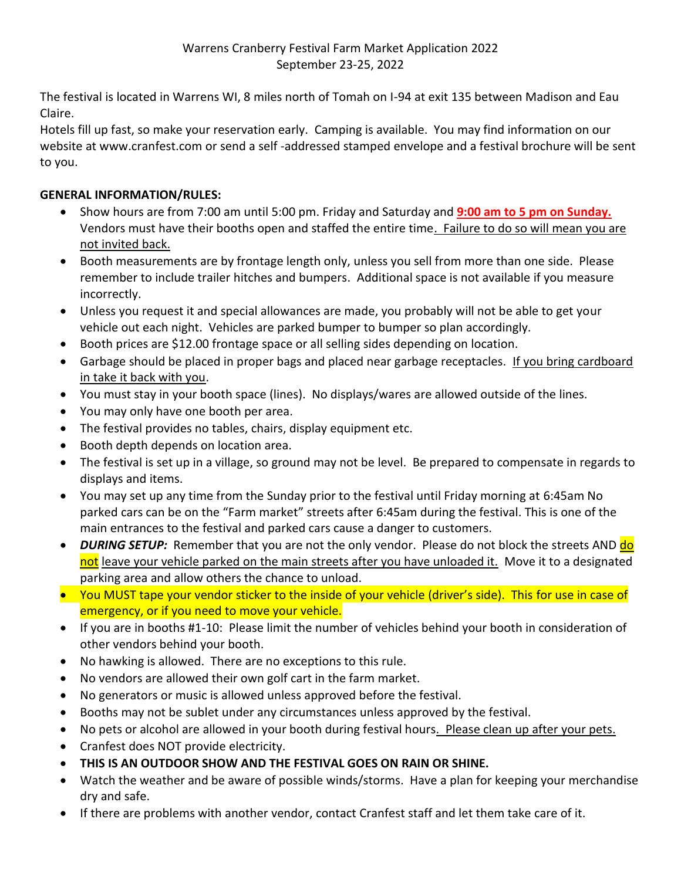The festival is located in Warrens WI, 8 miles north of Tomah on I-94 at exit 135 between Madison and Eau Claire.

Hotels fill up fast, so make your reservation early. Camping is available. You may find information on our website at www.cranfest.com or send a self -addressed stamped envelope and a festival brochure will be sent to you.

## **GENERAL INFORMATION/RULES:**

- Show hours are from 7:00 am until 5:00 pm. Friday and Saturday and **9:00 am to 5 pm on Sunday.** Vendors must have their booths open and staffed the entire time. Failure to do so will mean you are not invited back.
- Booth measurements are by frontage length only, unless you sell from more than one side. Please remember to include trailer hitches and bumpers. Additional space is not available if you measure incorrectly.
- Unless you request it and special allowances are made, you probably will not be able to get your vehicle out each night. Vehicles are parked bumper to bumper so plan accordingly.
- Booth prices are \$12.00 frontage space or all selling sides depending on location.
- Garbage should be placed in proper bags and placed near garbage receptacles. If you bring cardboard in take it back with you.
- You must stay in your booth space (lines). No displays/wares are allowed outside of the lines.
- You may only have one booth per area.
- The festival provides no tables, chairs, display equipment etc.
- Booth depth depends on location area.
- The festival is set up in a village, so ground may not be level. Be prepared to compensate in regards to displays and items.
- You may set up any time from the Sunday prior to the festival until Friday morning at 6:45am No parked cars can be on the "Farm market" streets after 6:45am during the festival. This is one of the main entrances to the festival and parked cars cause a danger to customers.
- *DURING SETUP:* Remember that you are not the only vendor. Please do not block the streets AND do not leave your vehicle parked on the main streets after you have unloaded it. Move it to a designated parking area and allow others the chance to unload.
- You MUST tape your vendor sticker to the inside of your vehicle (driver's side). This for use in case of emergency, or if you need to move your vehicle.
- If you are in booths #1-10: Please limit the number of vehicles behind your booth in consideration of other vendors behind your booth.
- No hawking is allowed. There are no exceptions to this rule.
- No vendors are allowed their own golf cart in the farm market.
- No generators or music is allowed unless approved before the festival.
- Booths may not be sublet under any circumstances unless approved by the festival.
- No pets or alcohol are allowed in your booth during festival hours. Please clean up after your pets.
- Cranfest does NOT provide electricity.
- **THIS IS AN OUTDOOR SHOW AND THE FESTIVAL GOES ON RAIN OR SHINE.**
- Watch the weather and be aware of possible winds/storms. Have a plan for keeping your merchandise dry and safe.
- If there are problems with another vendor, contact Cranfest staff and let them take care of it.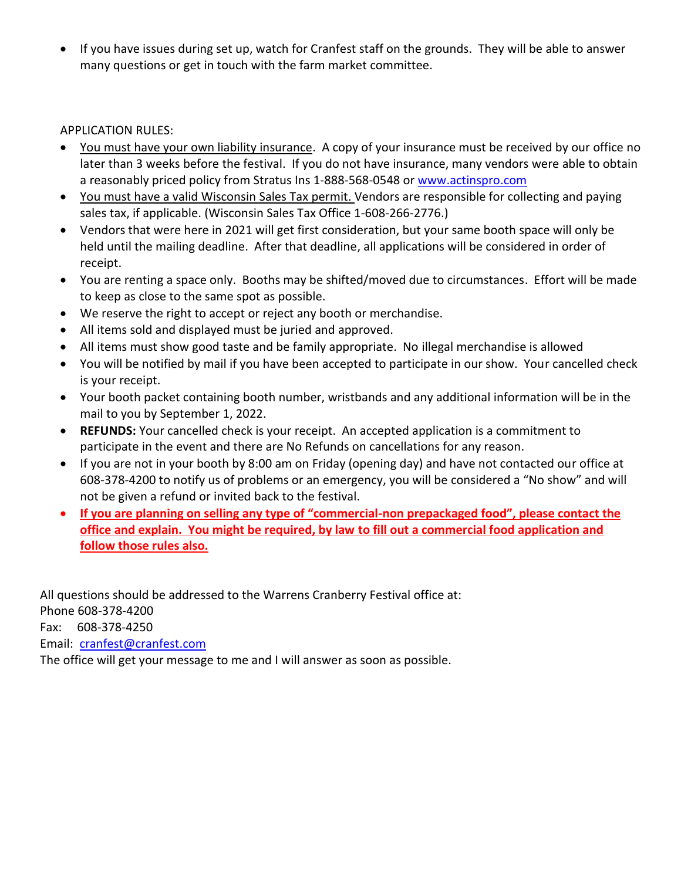• If you have issues during set up, watch for Cranfest staff on the grounds. They will be able to answer many questions or get in touch with the farm market committee.

APPLICATION RULES:

- You must have your own liability insurance. A copy of your insurance must be received by our office no later than 3 weeks before the festival. If you do not have insurance, many vendors were able to obtain a reasonably priced policy from Stratus Ins 1-888-568-0548 o[r www.actinspro.com](http://www.actinspro.com/)
- You must have a valid Wisconsin Sales Tax permit. Vendors are responsible for collecting and paying sales tax, if applicable. (Wisconsin Sales Tax Office 1-608-266-2776.)
- Vendors that were here in 2021 will get first consideration, but your same booth space will only be held until the mailing deadline. After that deadline, all applications will be considered in order of receipt.
- You are renting a space only. Booths may be shifted/moved due to circumstances. Effort will be made to keep as close to the same spot as possible.
- We reserve the right to accept or reject any booth or merchandise.
- All items sold and displayed must be juried and approved.
- All items must show good taste and be family appropriate. No illegal merchandise is allowed
- You will be notified by mail if you have been accepted to participate in our show. Your cancelled check is your receipt.
- Your booth packet containing booth number, wristbands and any additional information will be in the mail to you by September 1, 2022.
- **REFUNDS:** Your cancelled check is your receipt. An accepted application is a commitment to participate in the event and there are No Refunds on cancellations for any reason.
- If you are not in your booth by 8:00 am on Friday (opening day) and have not contacted our office at 608-378-4200 to notify us of problems or an emergency, you will be considered a "No show" and will not be given a refund or invited back to the festival.
- **If you are planning on selling any type of "commercial-non prepackaged food", please contact the office and explain. You might be required, by law to fill out a commercial food application and follow those rules also.**

All questions should be addressed to the Warrens Cranberry Festival office at: Phone 608-378-4200 Fax: 608-378-4250 Email: [cranfest@cranfest.com](mailto:cranfest@cranfest.com) The office will get your message to me and I will answer as soon as possible.